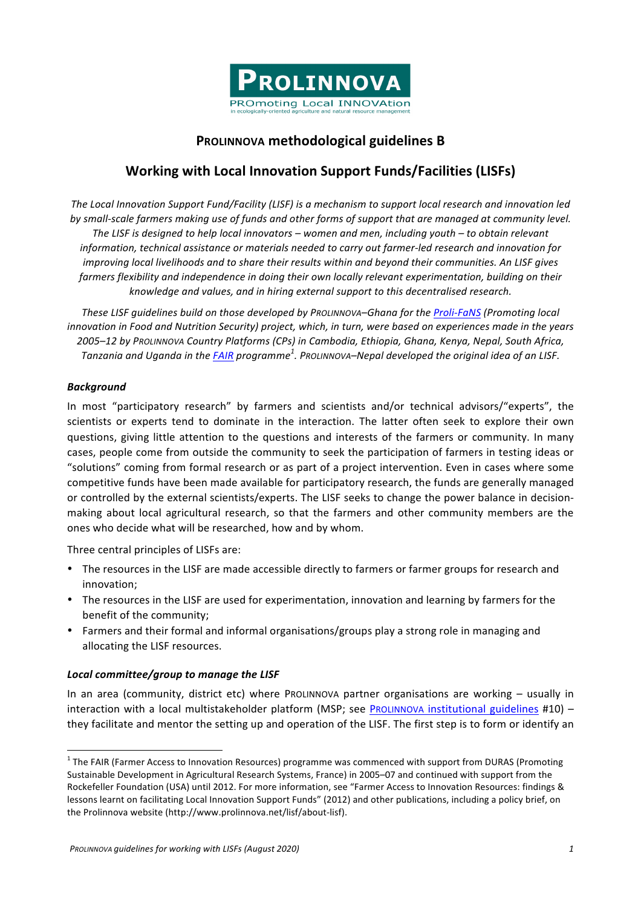

# **PROLINNOVA methodological guidelines B**

# **Working with Local Innovation Support Funds/Facilities (LISFs)**

The Local Innovation Support Fund/Facility (LISF) is a mechanism to support local research and innovation led by small-scale farmers making use of funds and other forms of support that are managed at community level. *The LISF* is designed to help local innovators – women and men, including youth – to obtain relevant *information, technical assistance or materials needed to carry out farmer-led research and innovation for improving local livelihoods and to share their results within and beyond their communities. An LISF gives* farmers flexibility and independence in doing their own locally relevant experimentation, building on their *knowledge and values, and in hiring external support to this decentralised research.* 

*These LISF guidelines build on those developed by PROLINNOVA–Ghana for the Proli-FaNS* (Promoting local *innovation in Food and Nutrition Security) project, which, in turn, were based on experiences made in the years 2005–12 by PROLINNOVA Country Platforms (CPs) in Cambodia, Ethiopia, Ghana, Kenya, Nepal, South Africa,*  Tanzania and Uganda in the <u>FAIR</u> programme<sup>1</sup>. ProLINNOVA–Nepal developed the original idea of an LISF.

# *Background*

In most "participatory research" by farmers and scientists and/or technical advisors/"experts", the scientists or experts tend to dominate in the interaction. The latter often seek to explore their own questions, giving little attention to the questions and interests of the farmers or community. In many cases, people come from outside the community to seek the participation of farmers in testing ideas or "solutions" coming from formal research or as part of a project intervention. Even in cases where some competitive funds have been made available for participatory research, the funds are generally managed or controlled by the external scientists/experts. The LISF seeks to change the power balance in decisionmaking about local agricultural research, so that the farmers and other community members are the ones who decide what will be researched, how and by whom.

Three central principles of LISFs are:

- The resources in the LISF are made accessible directly to farmers or farmer groups for research and innovation;
- The resources in the LISF are used for experimentation, innovation and learning by farmers for the benefit of the community;
- Farmers and their formal and informal organisations/groups play a strong role in managing and allocating the LISF resources.

# Local committee/group to manage the LISF

<u> 1989 - Johann Stein, fransk politiker (d. 1989)</u>

In an area (community, district etc) where PROLINNOVA partner organisations are working – usually in interaction with a local multistakeholder platform (MSP; see PROLINNOVA institutional guidelines #10) – they facilitate and mentor the setting up and operation of the LISF. The first step is to form or identify an

 $1$  The FAIR (Farmer Access to Innovation Resources) programme was commenced with support from DURAS (Promoting Sustainable Development in Agricultural Research Systems, France) in 2005–07 and continued with support from the Rockefeller Foundation (USA) until 2012. For more information, see "Farmer Access to Innovation Resources: findings & lessons learnt on facilitating Local Innovation Support Funds" (2012) and other publications, including a policy brief, on the Prolinnova website (http://www.prolinnova.net/lisf/about-lisf).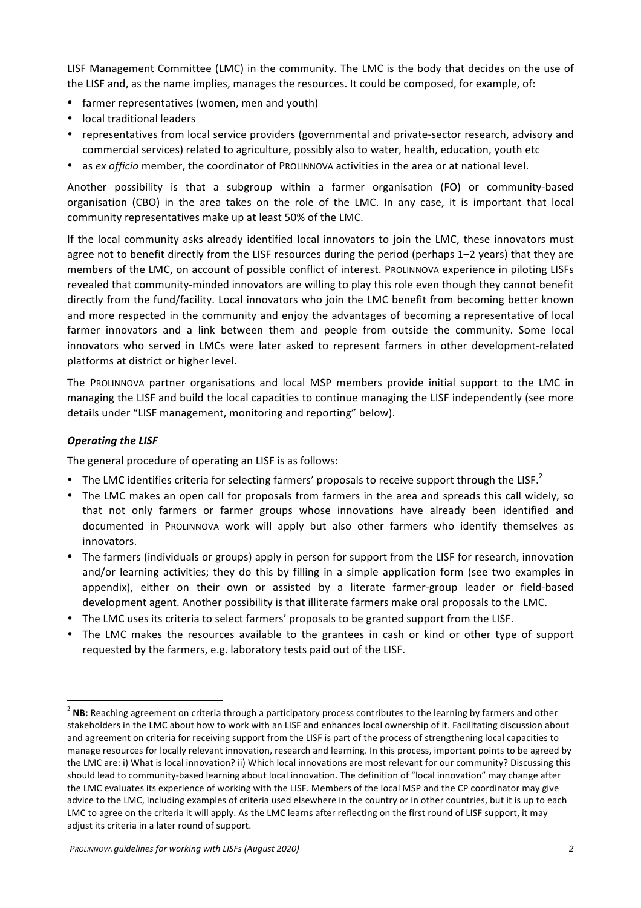LISF Management Committee (LMC) in the community. The LMC is the body that decides on the use of the LISF and, as the name implies, manages the resources. It could be composed, for example, of:

- farmer representatives (women, men and youth)
- local traditional leaders
- representatives from local service providers (governmental and private-sector research, advisory and commercial services) related to agriculture, possibly also to water, health, education, youth etc
- as *ex officio* member, the coordinator of PROLINNOVA activities in the area or at national level.

Another possibility is that a subgroup within a farmer organisation (FO) or community-based organisation (CBO) in the area takes on the role of the LMC. In any case, it is important that local community representatives make up at least 50% of the LMC.

If the local community asks already identified local innovators to join the LMC, these innovators must agree not to benefit directly from the LISF resources during the period (perhaps 1–2 years) that they are members of the LMC, on account of possible conflict of interest. PROLINNOVA experience in piloting LISFs revealed that community-minded innovators are willing to play this role even though they cannot benefit directly from the fund/facility. Local innovators who join the LMC benefit from becoming better known and more respected in the community and enjoy the advantages of becoming a representative of local farmer innovators and a link between them and people from outside the community. Some local innovators who served in LMCs were later asked to represent farmers in other development-related platforms at district or higher level.

The PROLINNOVA partner organisations and local MSP members provide initial support to the LMC in managing the LISF and build the local capacities to continue managing the LISF independently (see more details under "LISF management, monitoring and reporting" below).

### **Operating the LISF**

The general procedure of operating an LISF is as follows:

- The LMC identifies criteria for selecting farmers' proposals to receive support through the LISF.<sup>2</sup>
- The LMC makes an open call for proposals from farmers in the area and spreads this call widely, so that not only farmers or farmer groups whose innovations have already been identified and documented in ProLINNOVA work will apply but also other farmers who identify themselves as innovators.
- The farmers (individuals or groups) apply in person for support from the LISF for research, innovation and/or learning activities; they do this by filling in a simple application form (see two examples in appendix), either on their own or assisted by a literate farmer-group leader or field-based development agent. Another possibility is that illiterate farmers make oral proposals to the LMC.
- The LMC uses its criteria to select farmers' proposals to be granted support from the LISF.
- The LMC makes the resources available to the grantees in cash or kind or other type of support requested by the farmers, e.g. laboratory tests paid out of the LISF.

<u> 1989 - Johann Stein, fransk politiker (d. 1989)</u>

<sup>&</sup>lt;sup>2</sup> NB: Reaching agreement on criteria through a participatory process contributes to the learning by farmers and other stakeholders in the LMC about how to work with an LISF and enhances local ownership of it. Facilitating discussion about and agreement on criteria for receiving support from the LISF is part of the process of strengthening local capacities to manage resources for locally relevant innovation, research and learning. In this process, important points to be agreed by the LMC are: i) What is local innovation? ii) Which local innovations are most relevant for our community? Discussing this should lead to community-based learning about local innovation. The definition of "local innovation" may change after the LMC evaluates its experience of working with the LISF. Members of the local MSP and the CP coordinator may give advice to the LMC, including examples of criteria used elsewhere in the country or in other countries, but it is up to each LMC to agree on the criteria it will apply. As the LMC learns after reflecting on the first round of LISF support, it may adjust its criteria in a later round of support.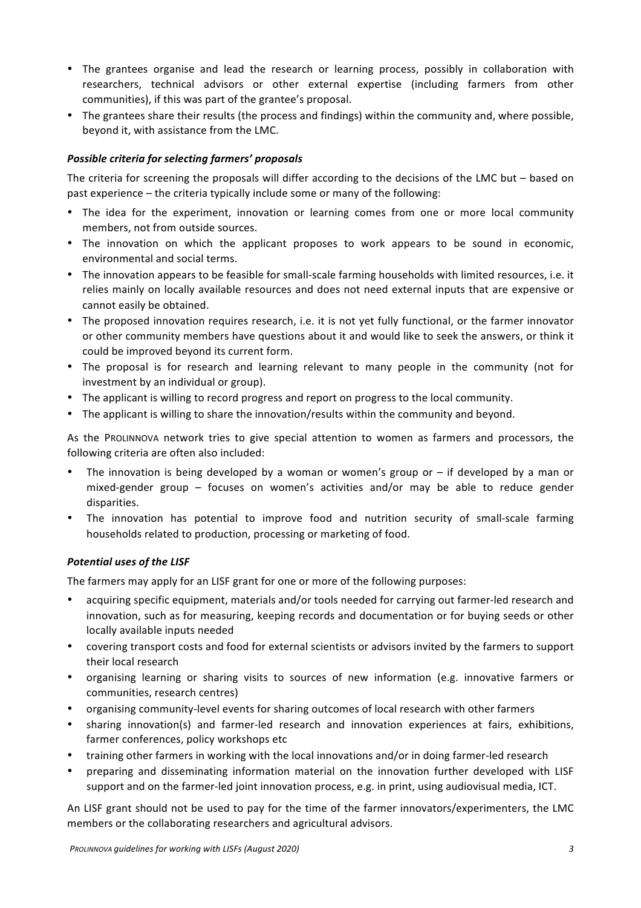- The grantees organise and lead the research or learning process, possibly in collaboration with researchers, technical advisors or other external expertise (including farmers from other communities), if this was part of the grantee's proposal.
- The grantees share their results (the process and findings) within the community and, where possible, beyond it, with assistance from the LMC.

## *Possible criteria for selecting farmers' proposals*

The criteria for screening the proposals will differ according to the decisions of the LMC but  $-$  based on past experience – the criteria typically include some or many of the following:

- The idea for the experiment, innovation or learning comes from one or more local community members, not from outside sources.
- The innovation on which the applicant proposes to work appears to be sound in economic, environmental and social terms.
- The innovation appears to be feasible for small-scale farming households with limited resources, i.e. it relies mainly on locally available resources and does not need external inputs that are expensive or cannot easily be obtained.
- The proposed innovation requires research, i.e. it is not yet fully functional, or the farmer innovator or other community members have questions about it and would like to seek the answers, or think it could be improved beyond its current form.
- The proposal is for research and learning relevant to many people in the community (not for investment by an individual or group).
- The applicant is willing to record progress and report on progress to the local community.
- The applicant is willing to share the innovation/results within the community and beyond.

As the PROLINNOVA network tries to give special attention to women as farmers and processors, the following criteria are often also included:

- The innovation is being developed by a woman or women's group or  $-$  if developed by a man or mixed-gender group – focuses on women's activities and/or may be able to reduce gender disparities.
- The innovation has potential to improve food and nutrition security of small-scale farming households related to production, processing or marketing of food.

# **Potential uses of the LISF**

The farmers may apply for an LISF grant for one or more of the following purposes:

- acquiring specific equipment, materials and/or tools needed for carrying out farmer-led research and innovation, such as for measuring, keeping records and documentation or for buying seeds or other locally available inputs needed
- covering transport costs and food for external scientists or advisors invited by the farmers to support their local research
- organising learning or sharing visits to sources of new information (e.g. innovative farmers or communities, research centres)
- organising community-level events for sharing outcomes of local research with other farmers
- sharing innovation(s) and farmer-led research and innovation experiences at fairs, exhibitions, farmer conferences, policy workshops etc
- training other farmers in working with the local innovations and/or in doing farmer-led research
- preparing and disseminating information material on the innovation further developed with LISF support and on the farmer-led ioint innovation process, e.g. in print, using audiovisual media, ICT.

An LISF grant should not be used to pay for the time of the farmer innovators/experimenters, the LMC members or the collaborating researchers and agricultural advisors.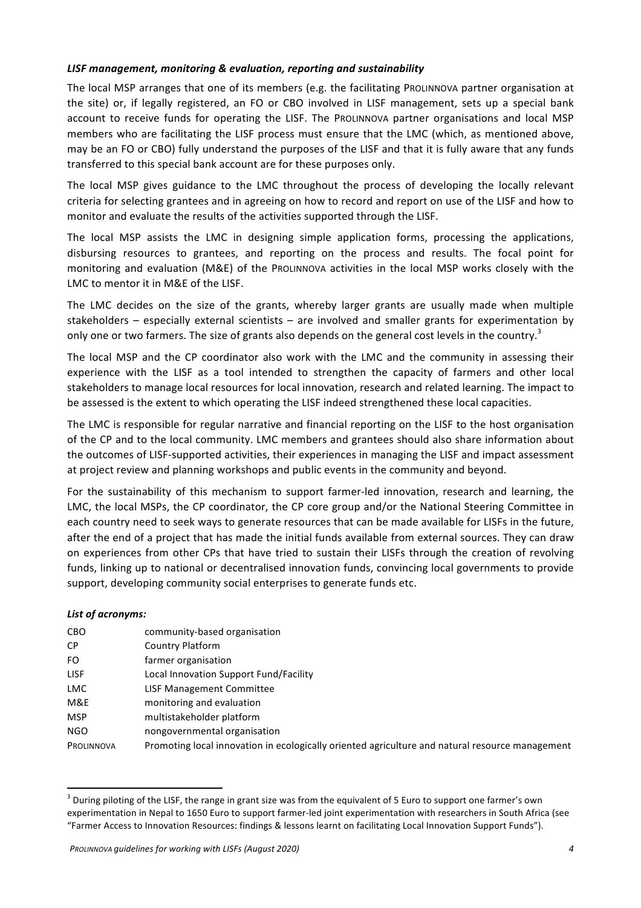### **LISF management, monitoring & evaluation, reporting and sustainability**

The local MSP arranges that one of its members (e.g. the facilitating PROLINNOVA partner organisation at the site) or, if legally registered, an FO or CBO involved in LISF management, sets up a special bank account to receive funds for operating the LISF. The PROLINNOVA partner organisations and local MSP members who are facilitating the LISF process must ensure that the LMC (which, as mentioned above, may be an FO or CBO) fully understand the purposes of the LISF and that it is fully aware that any funds transferred to this special bank account are for these purposes only.

The local MSP gives guidance to the LMC throughout the process of developing the locally relevant criteria for selecting grantees and in agreeing on how to record and report on use of the LISF and how to monitor and evaluate the results of the activities supported through the LISF.

The local MSP assists the LMC in designing simple application forms, processing the applications, disbursing resources to grantees, and reporting on the process and results. The focal point for monitoring and evaluation (M&E) of the ProLINNOVA activities in the local MSP works closely with the LMC to mentor it in M&E of the LISF.

The LMC decides on the size of the grants, whereby larger grants are usually made when multiple stakeholders  $-$  especially external scientists  $-$  are involved and smaller grants for experimentation by only one or two farmers. The size of grants also depends on the general cost levels in the country.<sup>3</sup>

The local MSP and the CP coordinator also work with the LMC and the community in assessing their experience with the LISF as a tool intended to strengthen the capacity of farmers and other local stakeholders to manage local resources for local innovation, research and related learning. The impact to be assessed is the extent to which operating the LISF indeed strengthened these local capacities.

The LMC is responsible for regular narrative and financial reporting on the LISF to the host organisation of the CP and to the local community. LMC members and grantees should also share information about the outcomes of LISF-supported activities, their experiences in managing the LISF and impact assessment at project review and planning workshops and public events in the community and beyond.

For the sustainability of this mechanism to support farmer-led innovation, research and learning, the LMC, the local MSPs, the CP coordinator, the CP core group and/or the National Steering Committee in each country need to seek ways to generate resources that can be made available for LISFs in the future, after the end of a project that has made the initial funds available from external sources. They can draw on experiences from other CPs that have tried to sustain their LISFs through the creation of revolving funds, linking up to national or decentralised innovation funds, convincing local governments to provide support, developing community social enterprises to generate funds etc.

### List of acronyms:

| CBO         | community-based organisation                                                                    |
|-------------|-------------------------------------------------------------------------------------------------|
| <b>CP</b>   | <b>Country Platform</b>                                                                         |
| FO          | farmer organisation                                                                             |
| <b>LISF</b> | Local Innovation Support Fund/Facility                                                          |
| <b>LMC</b>  | <b>LISF Management Committee</b>                                                                |
| M&E         | monitoring and evaluation                                                                       |
| <b>MSP</b>  | multistakeholder platform                                                                       |
| <b>NGO</b>  | nongovernmental organisation                                                                    |
| PROLINNOVA  | Promoting local innovation in ecologically oriented agriculture and natural resource management |

 $3$  During piloting of the LISF, the range in grant size was from the equivalent of 5 Euro to support one farmer's own experimentation in Nepal to 1650 Euro to support farmer-led joint experimentation with researchers in South Africa (see "Farmer Access to Innovation Resources: findings & lessons learnt on facilitating Local Innovation Support Funds").

<u> 1989 - Johann Stein, fransk politiker (d. 1989)</u>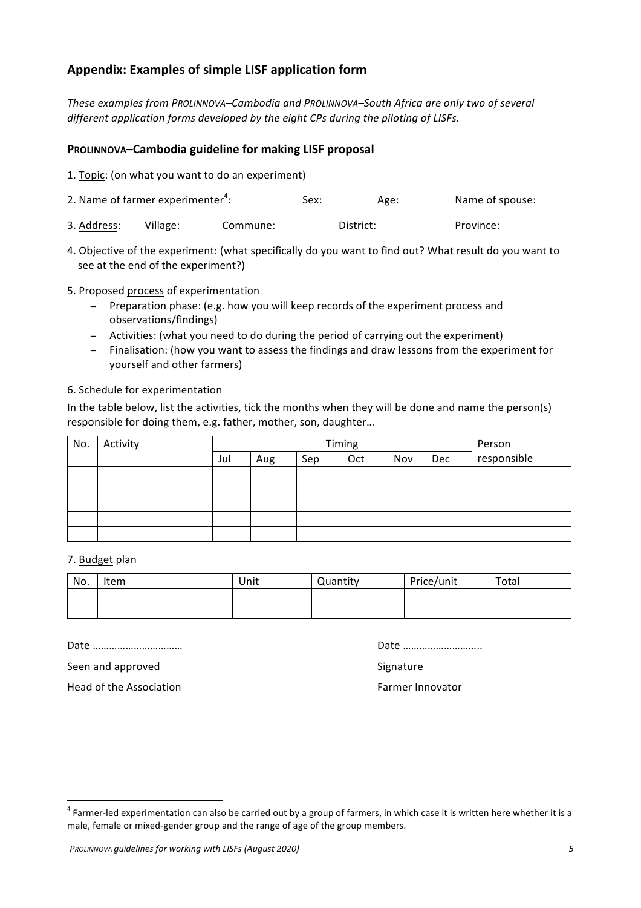# Appendix: Examples of simple LISF application form

*These examples from PROLINNOVA–Cambodia and PROLINNOVA–South Africa are only two of several*  different application forms developed by the eight CPs during the piloting of LISFs.

# PROLINNOVA-Cambodia guideline for making LISF proposal

- 1. Topic: (on what you want to do an experiment)
- 2. Name of farmer experimenter<sup>4</sup>: Sex: Age: Name of spouse:
- 3. Address: Village: Commune: District: Province:
- 4. Objective of the experiment: (what specifically do you want to find out? What result do you want to see at the end of the experiment?)

### 5. Proposed process of experimentation

- Preparation phase: (e.g. how you will keep records of the experiment process and observations/findings)
- − Activities: (what you need to do during the period of carrying out the experiment)
- Finalisation: (how you want to assess the findings and draw lessons from the experiment for yourself and other farmers)

### 6. Schedule for experimentation

In the table below, list the activities, tick the months when they will be done and name the person(s) responsible for doing them, e.g. father, mother, son, daughter...

| No. | Activity | Timing |     |     |     |     |            | Person      |
|-----|----------|--------|-----|-----|-----|-----|------------|-------------|
|     |          | Jul    | Aug | Sep | Oct | Nov | <b>Dec</b> | responsible |
|     |          |        |     |     |     |     |            |             |
|     |          |        |     |     |     |     |            |             |
|     |          |        |     |     |     |     |            |             |
|     |          |        |     |     |     |     |            |             |
|     |          |        |     |     |     |     |            |             |

### 7. Budget plan

| No. | Item | Unit | Quantity | Price/unit | Total |
|-----|------|------|----------|------------|-------|
|     |      |      |          |            |       |
|     |      |      |          |            |       |

Date …………………………… Date ………………………..

Seen and approved states and states of the Signature Signature

Head of the Association **Facture 1** and the **Farmer Innovator** Farmer Innovator

 

 $4$  Farmer-led experimentation can also be carried out by a group of farmers, in which case it is written here whether it is a male, female or mixed-gender group and the range of age of the group members.